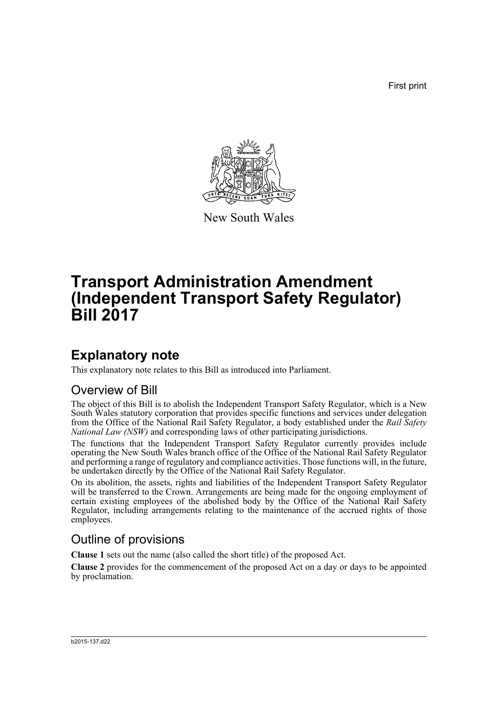First print



New South Wales

# **Transport Administration Amendment (Independent Transport Safety Regulator) Bill 2017**

## **Explanatory note**

This explanatory note relates to this Bill as introduced into Parliament.

### Overview of Bill

The object of this Bill is to abolish the Independent Transport Safety Regulator, which is a New South Wales statutory corporation that provides specific functions and services under delegation from the Office of the National Rail Safety Regulator, a body established under the *Rail Safety National Law (NSW)* and corresponding laws of other participating jurisdictions.

The functions that the Independent Transport Safety Regulator currently provides include operating the New South Wales branch office of the Office of the National Rail Safety Regulator and performing a range of regulatory and compliance activities. Those functions will, in the future, be undertaken directly by the Office of the National Rail Safety Regulator.

On its abolition, the assets, rights and liabilities of the Independent Transport Safety Regulator will be transferred to the Crown. Arrangements are being made for the ongoing employment of certain existing employees of the abolished body by the Office of the National Rail Safety Regulator, including arrangements relating to the maintenance of the accrued rights of those employees.

### Outline of provisions

**Clause 1** sets out the name (also called the short title) of the proposed Act.

**Clause 2** provides for the commencement of the proposed Act on a day or days to be appointed by proclamation.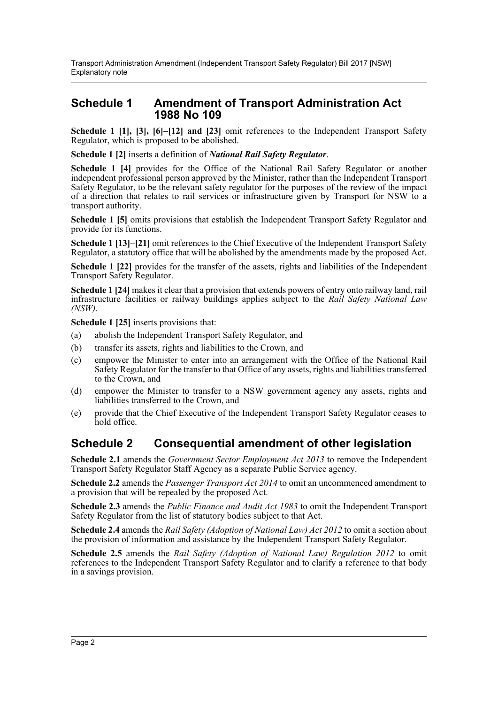#### **Schedule 1 Amendment of Transport Administration Act 1988 No 109**

**Schedule 1 [1], [3], [6]–[12] and [23]** omit references to the Independent Transport Safety Regulator, which is proposed to be abolished.

**Schedule 1 [2]** inserts a definition of *National Rail Safety Regulator*.

**Schedule 1 [4]** provides for the Office of the National Rail Safety Regulator or another independent professional person approved by the Minister, rather than the Independent Transport Safety Regulator, to be the relevant safety regulator for the purposes of the review of the impact of a direction that relates to rail services or infrastructure given by Transport for NSW to a transport authority.

**Schedule 1 [5]** omits provisions that establish the Independent Transport Safety Regulator and provide for its functions.

**Schedule 1 [13]–[21]** omit references to the Chief Executive of the Independent Transport Safety Regulator, a statutory office that will be abolished by the amendments made by the proposed Act.

**Schedule 1 [22]** provides for the transfer of the assets, rights and liabilities of the Independent Transport Safety Regulator.

**Schedule 1 [24]** makes it clear that a provision that extends powers of entry onto railway land, rail infrastructure facilities or railway buildings applies subject to the *Rail Safety National Law (NSW)*.

**Schedule 1 [25]** inserts provisions that:

- (a) abolish the Independent Transport Safety Regulator, and
- (b) transfer its assets, rights and liabilities to the Crown, and
- (c) empower the Minister to enter into an arrangement with the Office of the National Rail Safety Regulator for the transfer to that Office of any assets, rights and liabilities transferred to the Crown, and
- (d) empower the Minister to transfer to a NSW government agency any assets, rights and liabilities transferred to the Crown, and
- (e) provide that the Chief Executive of the Independent Transport Safety Regulator ceases to hold office.

### **Schedule 2 Consequential amendment of other legislation**

**Schedule 2.1** amends the *Government Sector Employment Act 2013* to remove the Independent Transport Safety Regulator Staff Agency as a separate Public Service agency.

**Schedule 2.2** amends the *Passenger Transport Act 2014* to omit an uncommenced amendment to a provision that will be repealed by the proposed Act.

**Schedule 2.3** amends the *Public Finance and Audit Act 1983* to omit the Independent Transport Safety Regulator from the list of statutory bodies subject to that Act.

**Schedule 2.4** amends the *Rail Safety (Adoption of National Law) Act 2012* to omit a section about the provision of information and assistance by the Independent Transport Safety Regulator.

**Schedule 2.5** amends the *Rail Safety (Adoption of National Law) Regulation 2012* to omit references to the Independent Transport Safety Regulator and to clarify a reference to that body in a savings provision.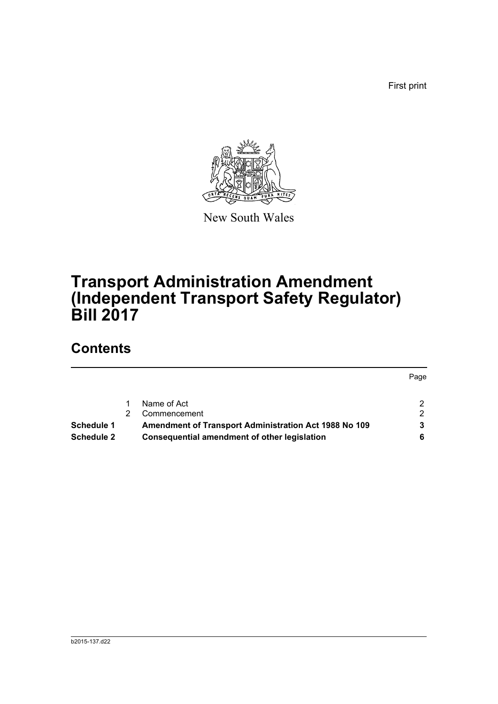First print



New South Wales

# **Transport Administration Amendment (Independent Transport Safety Regulator) Bill 2017**

## **Contents**

|                   |                                                       | Page          |
|-------------------|-------------------------------------------------------|---------------|
|                   |                                                       |               |
|                   | Name of Act                                           | 2             |
|                   | Commencement                                          | $\mathcal{P}$ |
| Schedule 1        | Amendment of Transport Administration Act 1988 No 109 |               |
| <b>Schedule 2</b> | <b>Consequential amendment of other legislation</b>   |               |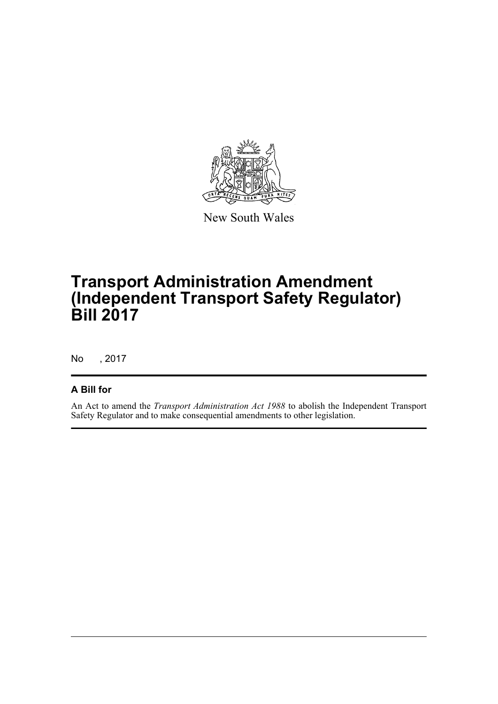

New South Wales

# **Transport Administration Amendment (Independent Transport Safety Regulator) Bill 2017**

No , 2017

#### **A Bill for**

An Act to amend the *Transport Administration Act 1988* to abolish the Independent Transport Safety Regulator and to make consequential amendments to other legislation.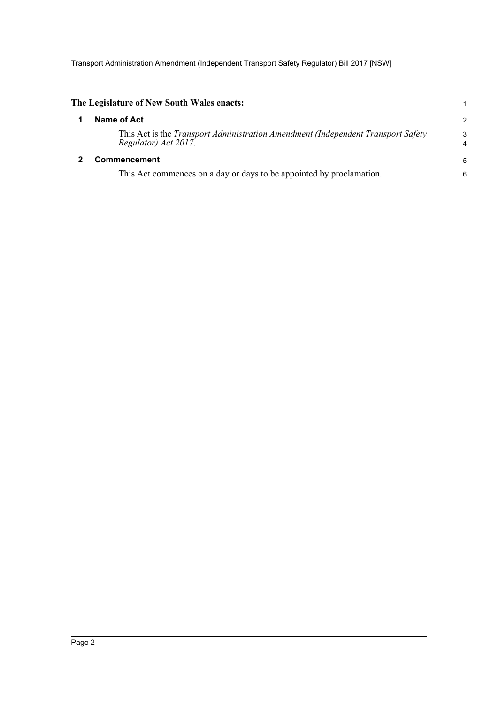Transport Administration Amendment (Independent Transport Safety Regulator) Bill 2017 [NSW]

<span id="page-4-1"></span><span id="page-4-0"></span>

| The Legislature of New South Wales enacts:                                                                      | 1             |
|-----------------------------------------------------------------------------------------------------------------|---------------|
| Name of Act                                                                                                     | $\mathcal{P}$ |
| This Act is the <i>Transport Administration Amendment (Independent Transport Safety</i><br>Regulator) Act 2017. | 3<br>4        |
| Commencement                                                                                                    | 5             |
| This Act commences on a day or days to be appointed by proclamation.                                            | 6             |
|                                                                                                                 |               |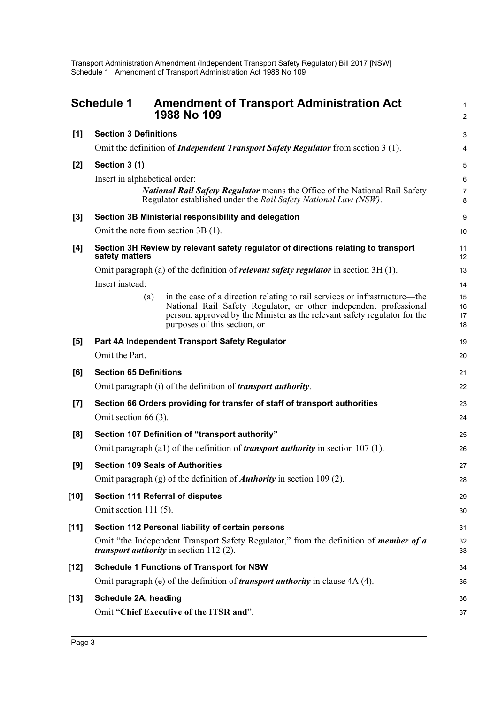Transport Administration Amendment (Independent Transport Safety Regulator) Bill 2017 [NSW] Schedule 1 Amendment of Transport Administration Act 1988 No 109

<span id="page-5-0"></span>

|        | <b>Schedule 1</b>                                 | <b>Amendment of Transport Administration Act</b><br>1988 No 109                                                                                                                                                                                              | $\mathbf{1}$<br>$\overline{c}$ |  |
|--------|---------------------------------------------------|--------------------------------------------------------------------------------------------------------------------------------------------------------------------------------------------------------------------------------------------------------------|--------------------------------|--|
| [1]    | <b>Section 3 Definitions</b>                      |                                                                                                                                                                                                                                                              | 3                              |  |
|        |                                                   | Omit the definition of <i>Independent Transport Safety Regulator</i> from section 3 (1).                                                                                                                                                                     | 4                              |  |
| [2]    | Section 3 (1)                                     |                                                                                                                                                                                                                                                              | 5                              |  |
|        | Insert in alphabetical order:                     |                                                                                                                                                                                                                                                              | 6                              |  |
|        |                                                   | National Rail Safety Regulator means the Office of the National Rail Safety<br>Regulator established under the Rail Safety National Law (NSW).                                                                                                               | $\overline{7}$<br>8            |  |
| $[3]$  |                                                   | Section 3B Ministerial responsibility and delegation                                                                                                                                                                                                         | 9                              |  |
|        |                                                   | Omit the note from section 3B (1).                                                                                                                                                                                                                           | 10                             |  |
| [4]    | safety matters                                    | Section 3H Review by relevant safety regulator of directions relating to transport                                                                                                                                                                           | 11<br>12                       |  |
|        |                                                   | Omit paragraph (a) of the definition of <i>relevant safety regulator</i> in section $3H(1)$ .                                                                                                                                                                | 13                             |  |
|        | Insert instead:                                   |                                                                                                                                                                                                                                                              | 14                             |  |
|        | (a)                                               | in the case of a direction relating to rail services or infrastructure—the<br>National Rail Safety Regulator, or other independent professional<br>person, approved by the Minister as the relevant safety regulator for the<br>purposes of this section, or | 15<br>16<br>17<br>18           |  |
| [5]    |                                                   | Part 4A Independent Transport Safety Regulator                                                                                                                                                                                                               | 19                             |  |
|        | Omit the Part.                                    |                                                                                                                                                                                                                                                              | 20                             |  |
| [6]    | <b>Section 65 Definitions</b>                     |                                                                                                                                                                                                                                                              | 21                             |  |
|        |                                                   | Omit paragraph (i) of the definition of <i>transport authority</i> .                                                                                                                                                                                         | 22                             |  |
| $[7]$  | Omit section $66(3)$ .                            | Section 66 Orders providing for transfer of staff of transport authorities                                                                                                                                                                                   | 23<br>24                       |  |
| [8]    |                                                   | Section 107 Definition of "transport authority"                                                                                                                                                                                                              | 25                             |  |
|        |                                                   | Omit paragraph (a1) of the definition of <i>transport authority</i> in section $107(1)$ .                                                                                                                                                                    | 26                             |  |
| [9]    |                                                   | <b>Section 109 Seals of Authorities</b>                                                                                                                                                                                                                      | 27                             |  |
|        |                                                   | Omit paragraph (g) of the definition of <b><i>Authority</i></b> in section 109 (2).                                                                                                                                                                          | 28                             |  |
| $[10]$ |                                                   | <b>Section 111 Referral of disputes</b>                                                                                                                                                                                                                      | 29                             |  |
|        | Omit section $111(5)$ .                           |                                                                                                                                                                                                                                                              | 30                             |  |
| $[11]$ | Section 112 Personal liability of certain persons |                                                                                                                                                                                                                                                              |                                |  |
|        |                                                   | Omit "the Independent Transport Safety Regulator," from the definition of <i>member of a</i><br><i>transport authority</i> in section $112(2)$ .                                                                                                             | 32<br>33                       |  |
| [12]   |                                                   | <b>Schedule 1 Functions of Transport for NSW</b>                                                                                                                                                                                                             | 34                             |  |
|        |                                                   | Omit paragraph (e) of the definition of <i>transport authority</i> in clause 4A (4).                                                                                                                                                                         | 35                             |  |
| $[13]$ | Schedule 2A, heading                              |                                                                                                                                                                                                                                                              | 36                             |  |
|        |                                                   | Omit "Chief Executive of the ITSR and".                                                                                                                                                                                                                      | 37                             |  |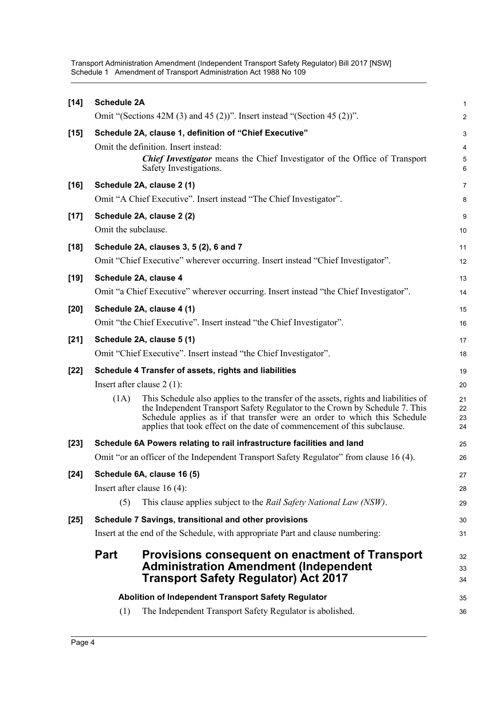Transport Administration Amendment (Independent Transport Safety Regulator) Bill 2017 [NSW] Schedule 1 Amendment of Transport Administration Act 1988 No 109

| $[14]$ | <b>Schedule 2A</b>                                                   |                                                                                                                                                          | $\mathbf{1}$   |
|--------|----------------------------------------------------------------------|----------------------------------------------------------------------------------------------------------------------------------------------------------|----------------|
|        |                                                                      | Omit "(Sections 42M (3) and 45 (2))". Insert instead "(Section 45 (2))".                                                                                 | $\overline{2}$ |
| $[15]$ |                                                                      | Schedule 2A, clause 1, definition of "Chief Executive"                                                                                                   | 3              |
|        |                                                                      | Omit the definition. Insert instead:                                                                                                                     | 4              |
|        |                                                                      | <b>Chief Investigator</b> means the Chief Investigator of the Office of Transport<br>Safety Investigations.                                              | $\mathbf 5$    |
|        |                                                                      |                                                                                                                                                          | 6              |
| $[16]$ |                                                                      | Schedule 2A, clause 2 (1)                                                                                                                                | $\overline{7}$ |
|        |                                                                      | Omit "A Chief Executive". Insert instead "The Chief Investigator".                                                                                       | 8              |
| $[17]$ |                                                                      | Schedule 2A, clause 2 (2)                                                                                                                                | 9              |
|        | Omit the subclause.                                                  |                                                                                                                                                          | 10             |
| $[18]$ |                                                                      | Schedule 2A, clauses 3, 5 (2), 6 and 7                                                                                                                   | 11             |
|        |                                                                      | Omit "Chief Executive" wherever occurring. Insert instead "Chief Investigator".                                                                          | 12             |
| $[19]$ |                                                                      | Schedule 2A, clause 4                                                                                                                                    | 13             |
|        |                                                                      | Omit "a Chief Executive" wherever occurring. Insert instead "the Chief Investigator".                                                                    | 14             |
| $[20]$ |                                                                      | Schedule 2A, clause 4 (1)                                                                                                                                | 15             |
|        | Omit "the Chief Executive". Insert instead "the Chief Investigator". |                                                                                                                                                          | 16             |
| $[21]$ |                                                                      | Schedule 2A, clause 5 (1)                                                                                                                                | 17             |
|        | Omit "Chief Executive". Insert instead "the Chief Investigator".     |                                                                                                                                                          |                |
| $[22]$ |                                                                      | Schedule 4 Transfer of assets, rights and liabilities                                                                                                    | 19             |
|        |                                                                      | Insert after clause $2(1)$ :                                                                                                                             | 20             |
|        | (1A)                                                                 | This Schedule also applies to the transfer of the assets, rights and liabilities of                                                                      | 21             |
|        |                                                                      | the Independent Transport Safety Regulator to the Crown by Schedule 7. This<br>Schedule applies as if that transfer were an order to which this Schedule | 22<br>23       |
|        |                                                                      | applies that took effect on the date of commencement of this subclause.                                                                                  | 24             |
| $[23]$ |                                                                      | Schedule 6A Powers relating to rail infrastructure facilities and land                                                                                   | 25             |
|        |                                                                      | Omit "or an officer of the Independent Transport Safety Regulator" from clause 16 (4).                                                                   | 26             |
| $[24]$ |                                                                      | Schedule 6A, clause 16 (5)                                                                                                                               | 27             |
|        |                                                                      | Insert after clause $16(4)$ :                                                                                                                            | 28             |
|        | (5)                                                                  | This clause applies subject to the Rail Safety National Law (NSW).                                                                                       | 29             |
| $[25]$ |                                                                      | Schedule 7 Savings, transitional and other provisions                                                                                                    | 30             |
|        |                                                                      | Insert at the end of the Schedule, with appropriate Part and clause numbering:                                                                           | 31             |
|        | <b>Part</b>                                                          | <b>Provisions consequent on enactment of Transport</b>                                                                                                   | 32             |
|        |                                                                      | <b>Administration Amendment (Independent</b>                                                                                                             | 33             |
|        |                                                                      | <b>Transport Safety Regulator) Act 2017</b>                                                                                                              | 34             |
|        |                                                                      | Abolition of Independent Transport Safety Regulator                                                                                                      | 35             |
|        | (1)                                                                  | The Independent Transport Safety Regulator is abolished.                                                                                                 | 36             |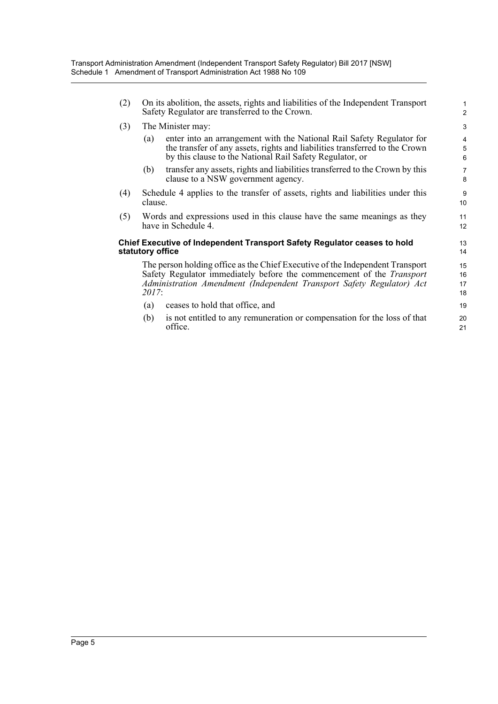| (2)                                                                                                                                                                                                                                             | On its abolition, the assets, rights and liabilities of the Independent Transport<br>Safety Regulator are transferred to the Crown. |                                                                                                                                                                                                                  |                                       |
|-------------------------------------------------------------------------------------------------------------------------------------------------------------------------------------------------------------------------------------------------|-------------------------------------------------------------------------------------------------------------------------------------|------------------------------------------------------------------------------------------------------------------------------------------------------------------------------------------------------------------|---------------------------------------|
| (3)                                                                                                                                                                                                                                             | The Minister may:                                                                                                                   |                                                                                                                                                                                                                  |                                       |
|                                                                                                                                                                                                                                                 | (a)                                                                                                                                 | enter into an arrangement with the National Rail Safety Regulator for<br>the transfer of any assets, rights and liabilities transferred to the Crown<br>by this clause to the National Rail Safety Regulator, or | 4<br>$\overline{5}$<br>$6\phantom{1}$ |
|                                                                                                                                                                                                                                                 | (b)                                                                                                                                 | transfer any assets, rights and liabilities transferred to the Crown by this<br>clause to a NSW government agency.                                                                                               | 7<br>8                                |
| (4)                                                                                                                                                                                                                                             | Schedule 4 applies to the transfer of assets, rights and liabilities under this<br>clause.                                          |                                                                                                                                                                                                                  | 9<br>10                               |
| (5)                                                                                                                                                                                                                                             | Words and expressions used in this clause have the same meanings as they<br>have in Schedule 4.                                     |                                                                                                                                                                                                                  | 11<br>12                              |
|                                                                                                                                                                                                                                                 | statutory office                                                                                                                    | <b>Chief Executive of Independent Transport Safety Regulator ceases to hold</b>                                                                                                                                  | 13<br>14                              |
| The person holding office as the Chief Executive of the Independent Transport<br>Safety Regulator immediately before the commencement of the <i>Transport</i><br>Administration Amendment (Independent Transport Safety Regulator) Act<br>2017: |                                                                                                                                     | 15<br>16<br>17<br>18                                                                                                                                                                                             |                                       |
|                                                                                                                                                                                                                                                 | (a)                                                                                                                                 | ceases to hold that office, and                                                                                                                                                                                  | 19                                    |
|                                                                                                                                                                                                                                                 | (b)                                                                                                                                 | is not entitled to any remuneration or compensation for the loss of that<br>office.                                                                                                                              | 20<br>21                              |
|                                                                                                                                                                                                                                                 |                                                                                                                                     |                                                                                                                                                                                                                  |                                       |